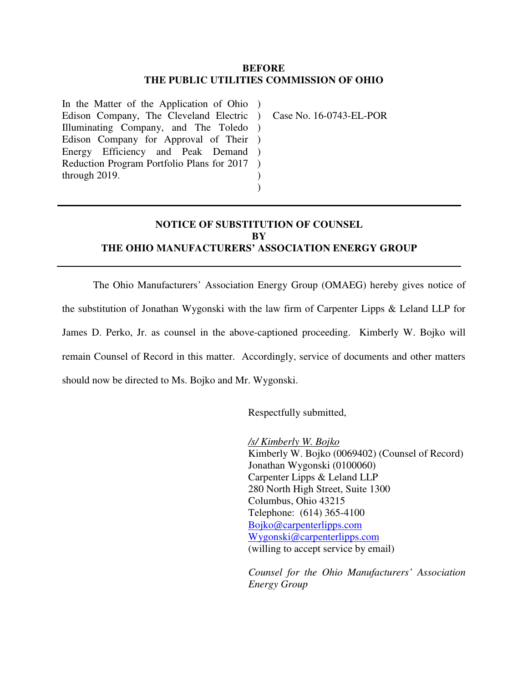## **BEFORE THE PUBLIC UTILITIES COMMISSION OF OHIO**

In the Matter of the Application of Ohio ) Edison Company, The Cleveland Electric ) Illuminating Company, and The Toledo ) Edison Company for Approval of Their ) Energy Efficiency and Peak Demand ) Reduction Program Portfolio Plans for 2017 through 2019. )

Case No. 16-0743-EL-POR

## **NOTICE OF SUBSTITUTION OF COUNSEL BY THE OHIO MANUFACTURERS' ASSOCIATION ENERGY GROUP**

) )

The Ohio Manufacturers' Association Energy Group (OMAEG) hereby gives notice of the substitution of Jonathan Wygonski with the law firm of Carpenter Lipps & Leland LLP for James D. Perko, Jr. as counsel in the above-captioned proceeding. Kimberly W. Bojko will remain Counsel of Record in this matter. Accordingly, service of documents and other matters should now be directed to Ms. Bojko and Mr. Wygonski.

Respectfully submitted,

 */s/ Kimberly W. Bojko*  Kimberly W. Bojko (0069402) (Counsel of Record) Jonathan Wygonski (0100060) Carpenter Lipps & Leland LLP 280 North High Street, Suite 1300 Columbus, Ohio 43215 Telephone: (614) 365-4100 Bojko@carpenterlipps.com Wygonski@carpenterlipps.com (willing to accept service by email)

*Counsel for the Ohio Manufacturers' Association Energy Group*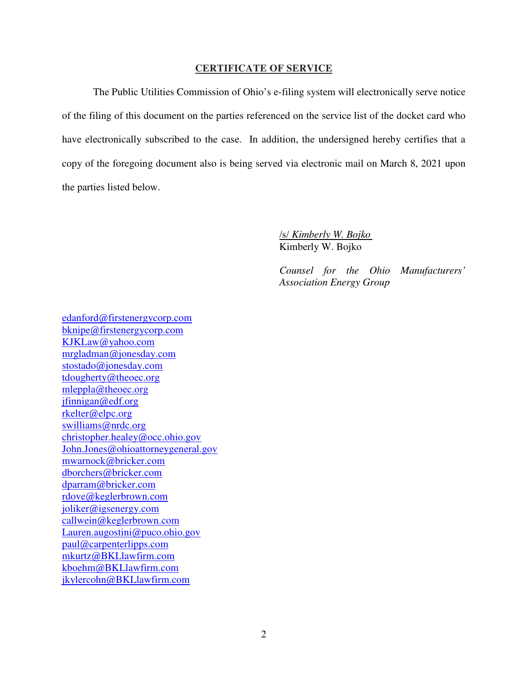## **CERTIFICATE OF SERVICE**

 The Public Utilities Commission of Ohio's e-filing system will electronically serve notice of the filing of this document on the parties referenced on the service list of the docket card who have electronically subscribed to the case. In addition, the undersigned hereby certifies that a copy of the foregoing document also is being served via electronic mail on March 8, 2021 upon the parties listed below.

> /s/ *Kimberly W. Bojko* Kimberly W. Bojko

*Counsel for the Ohio Manufacturers' Association Energy Group* 

edanford@firstenergycorp.com bknipe@firstenergycorp.com KJKLaw@yahoo.com mrgladman@jonesday.com stostado@jonesday.com tdougherty@theoec.org mleppla@theoec.org jfinnigan@edf.org rkelter@elpc.org swilliams@nrdc.org christopher.healey@occ.ohio.gov John.Jones@ohioattorneygeneral.gov mwarnock@bricker.com dborchers@bricker.com dparram@bricker.com rdove@keglerbrown.com joliker@igsenergy.com callwein@keglerbrown.com Lauren.augostini@puco.ohio.gov paul@carpenterlipps.com mkurtz@BKLlawfirm.com kboehm@BKLlawfirm.com jkylercohn@BKLlawfirm.com